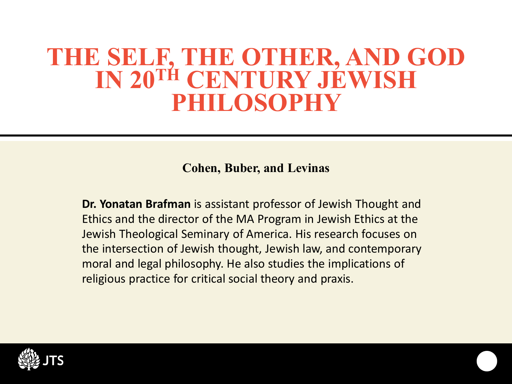#### **THE SELF, THE OTHER, AND GOD IN 20TH CENTURY JEWISH PHILOSOPHY**

**Cohen, Buber, and Levinas**

**Dr. Yonatan Brafman** is assistant professor of Jewish Thought and Ethics and the director of the MA Program in Jewish Ethics at the Jewish Theological Seminary of America. His research focuses on the intersection of Jewish thought, Jewish law, and contemporary moral and legal philosophy. He also studies the implications of religious practice for critical social theory and praxis.

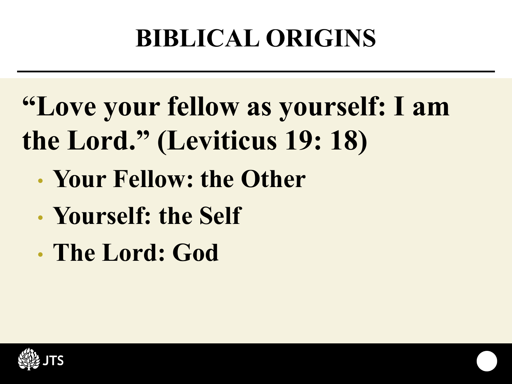## **BIBLICAL ORIGINS**

- **"Love your fellow as yourself: I am the Lord." (Leviticus 19: 18)**
	- **Your Fellow: the Other**
	- **Yourself: the Self**
	- **The Lord: God**

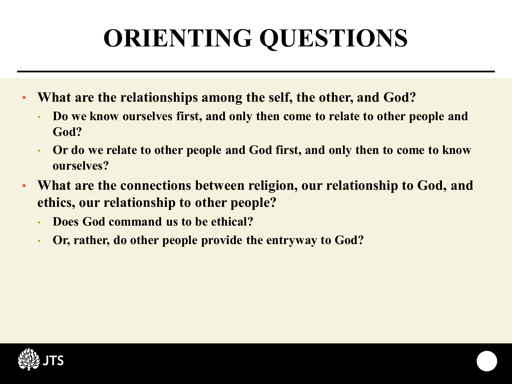# **ORIENTING QUESTIONS**

- **What are the relationships among the self, the other, and God?**
	- **Do we know ourselves first, and only then come to relate to other people and God?**
	- **Or do we relate to other people and God first, and only then to come to know ourselves?**
- **What are the connections between religion, our relationship to God, and ethics, our relationship to other people?**
	- **Does God command us to be ethical?**
	- **Or, rather, do other people provide the entryway to God?**

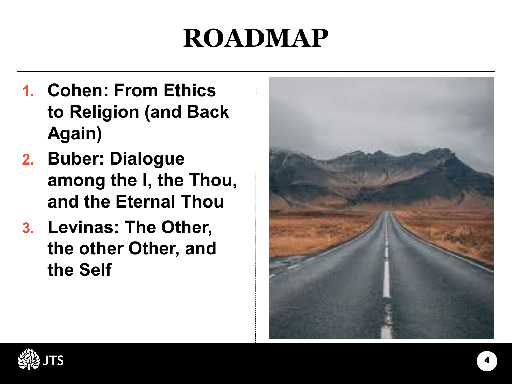## **ROADMAP**

- **1. Cohen: From Ethics to Religion (and Back Again)**
- **2. Buber: Dialogue among the I, the Thou, and the Eternal Thou**
- **3. Levinas: The Other, the other Other, and the Self**



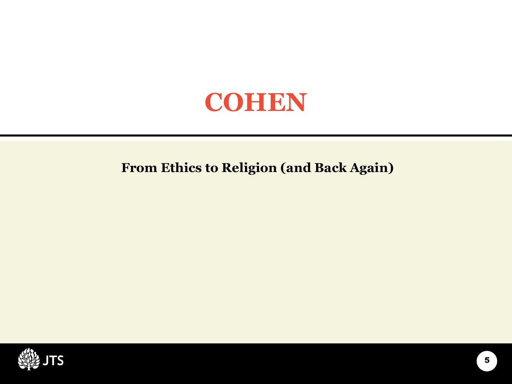

**From Ethics to Religion (and Back Again)**

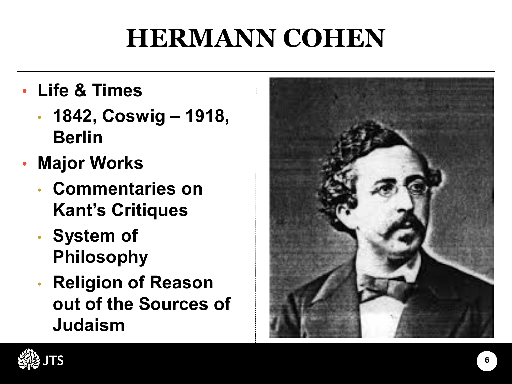# **HERMANN COHEN**

- **Life & Times**
	- **1842, Coswig – 1918, Berlin**
- **Major Works**
	- **Commentaries on Kant's Critiques**
	- **System of Philosophy**
	- **Religion of Reason out of the Sources of Judaism**



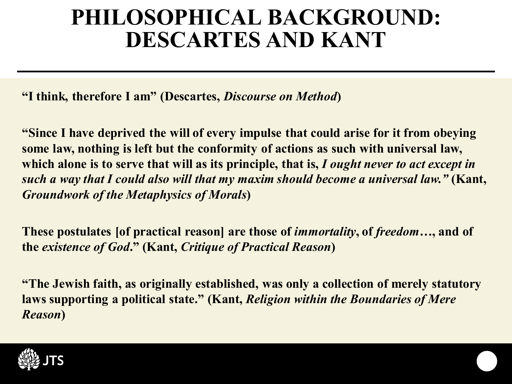#### **PHILOSOPHICAL BACKGROUND: DESCARTES AND KANT**

**"I think, therefore I am" (Descartes,** *Discourse on Method***)**

**"Since I have deprived the will of every impulse that could arise for it from obeying some law, nothing is left but the conformity of actions as such with universal law, which alone is to serve that will as its principle, that is,** *I ought never to act except in such a way that I could also will that my maxim should become a universal law."* **(Kant,**  *Groundwork of the Metaphysics of Morals***)**

**These postulates [of practical reason] are those of** *immortality***, of** *freedom***…, and of the** *existence of God***." (Kant,** *Critique of Practical Reason***)**

**"The Jewish faith, as originally established, was only a collection of merely statutory laws supporting a political state." (Kant,** *Religion within the Boundaries of Mere Reason***)**

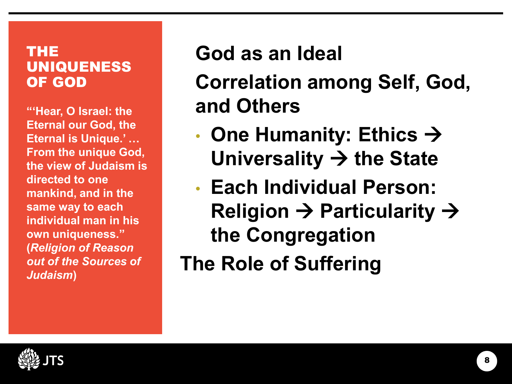#### THE UNIQUENESS OF GOD

**"'Hear, O Israel: the Eternal our God, the Eternal is Unique.' … From the unique God, the view of Judaism is directed to one mankind, and in the same way to each individual man in his own uniqueness." (***Religion of Reason out of the Sources of Judaism***)**

#### **God as an Ideal**

**Correlation among Self, God, and Others**

- **One Humanity: Ethics Universality → the State**
- **Each Individual Person: Religion**  $\rightarrow$  **Particularity**  $\rightarrow$ **the Congregation**

**The Role of Suffering**

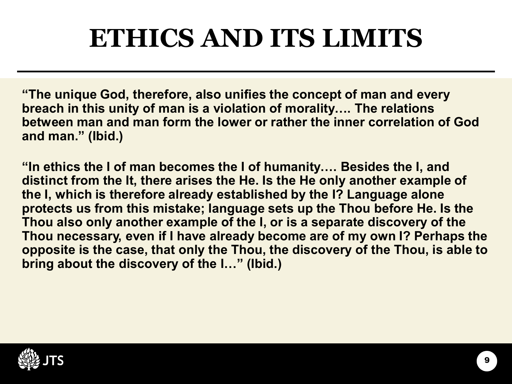## **ETHICS AND ITS LIMITS**

**"The unique God, therefore, also unifies the concept of man and every breach in this unity of man is a violation of morality…. The relations between man and man form the lower or rather the inner correlation of God and man." (Ibid.)**

**"In ethics the I of man becomes the I of humanity…. Besides the I, and distinct from the It, there arises the He. Is the He only another example of the I, which is therefore already established by the I? Language alone protects us from this mistake; language sets up the Thou before He. Is the Thou also only another example of the I, or is a separate discovery of the Thou necessary, even if I have already become are of my own I? Perhaps the opposite is the case, that only the Thou, the discovery of the Thou, is able to bring about the discovery of the I…" (Ibid.)**

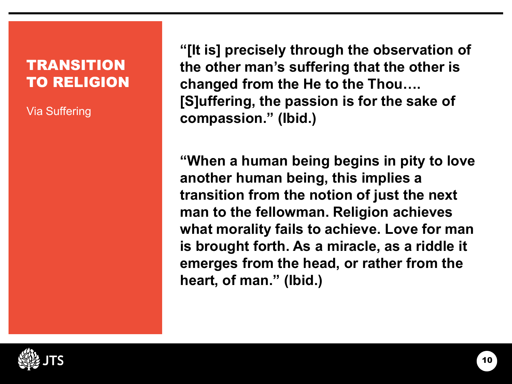#### TRANSITION TO RELIGION

Via Suffering

**"[It is] precisely through the observation of the other man's suffering that the other is changed from the He to the Thou…. [S]uffering, the passion is for the sake of compassion." (Ibid.)**

**"When a human being begins in pity to love another human being, this implies a transition from the notion of just the next man to the fellowman. Religion achieves what morality fails to achieve. Love for man is brought forth. As a miracle, as a riddle it emerges from the head, or rather from the heart, of man." (Ibid.)**

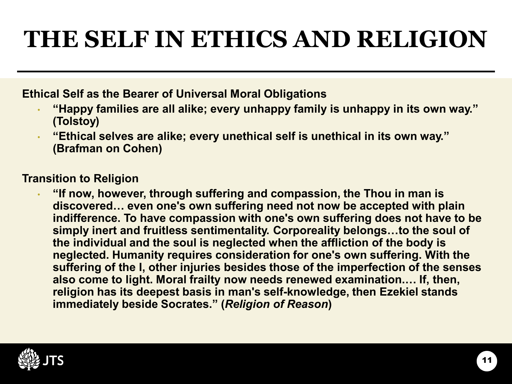#### **THE SELF IN ETHICS AND RELIGION**

**Ethical Self as the Bearer of Universal Moral Obligations**

- **"Happy families are all alike; every unhappy family is unhappy in its own way." (Tolstoy)**
- **"Ethical selves are alike; every unethical self is unethical in its own way." (Brafman on Cohen)**

#### **Transition to Religion**

• **"If now, however, through suffering and compassion, the Thou in man is discovered… even one's own suffering need not now be accepted with plain indifference. To have compassion with one's own suffering does not have to be simply inert and fruitless sentimentality. Corporeality belongs…to the soul of the individual and the soul is neglected when the affliction of the body is neglected. Humanity requires consideration for one's own suffering. With the suffering of the I, other injuries besides those of the imperfection of the senses also come to light. Moral frailty now needs renewed examination.… If, then, religion has its deepest basis in man's self-knowledge, then Ezekiel stands immediately beside Socrates." (***Religion of Reason***)**

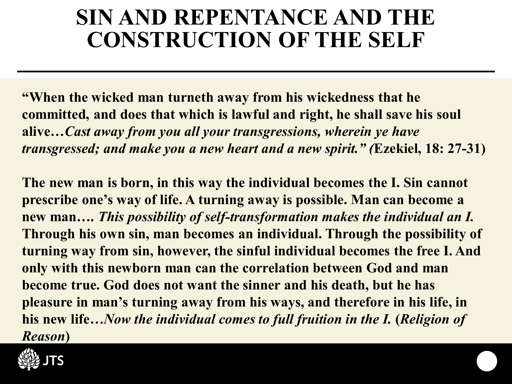#### **SIN AND REPENTANCE AND THE CONSTRUCTION OF THE SELF**

**"When the wicked man turneth away from his wickedness that he committed, and does that which is lawful and right, he shall save his soul alive…***Cast away from you all your transgressions, wherein ye have transgressed; and make you a new heart and a new spirit." (***Ezekiel, 18: 27-31)**

**The new man is born, in this way the individual becomes the I. Sin cannot prescribe one's way of life. A turning away is possible. Man can become a new man….** *This possibility of self-transformation makes the individual an I.* **Through his own sin, man becomes an individual. Through the possibility of turning way from sin, however, the sinful individual becomes the free I. And only with this newborn man can the correlation between God and man become true. God does not want the sinner and his death, but he has pleasure in man's turning away from his ways, and therefore in his life, in his new life…***Now the individual comes to full fruition in the I.* **(***Religion of Reason***)**

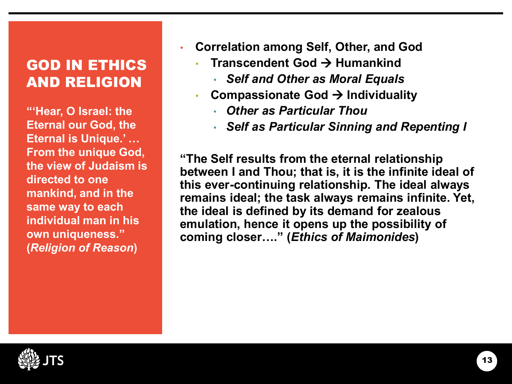#### GOD IN ETHICS AND RELIGION

**"'Hear, O Israel: the Eternal our God, the Eternal is Unique.' … From the unique God, the view of Judaism is directed to one mankind, and in the same way to each individual man in his own uniqueness." (***Religion of Reason***)**

- **Correlation among Self, Other, and God**
	- **Transcendent God Humankind**
		- *Self and Other as Moral Equals*
	- **Compassionate God Individuality**
		- *Other as Particular Thou*
		- *Self as Particular Sinning and Repenting I*

**"The Self results from the eternal relationship between I and Thou; that is, it is the infinite ideal of this ever-continuing relationship. The ideal always remains ideal; the task always remains infinite. Yet, the ideal is defined by its demand for zealous emulation, hence it opens up the possibility of coming closer…." (***Ethics of Maimonides***)**

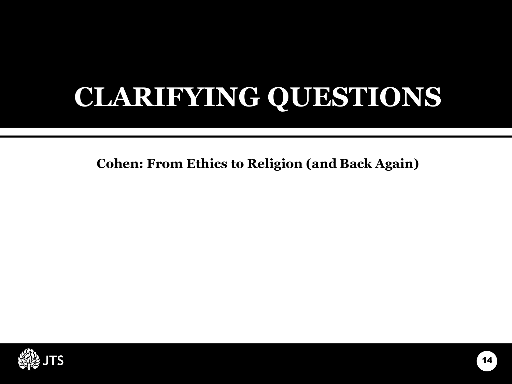# **CLARIFYING QUESTIONS**

**Cohen: From Ethics to Religion (and Back Again)**

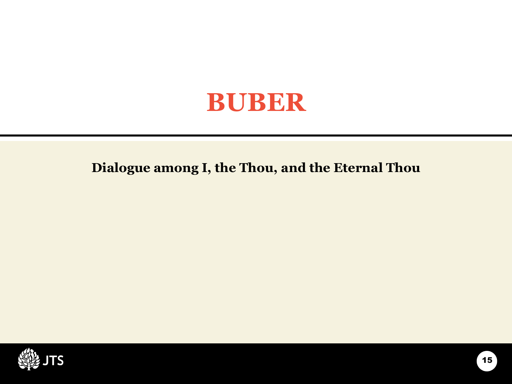

**Dialogue among I, the Thou, and the Eternal Thou**

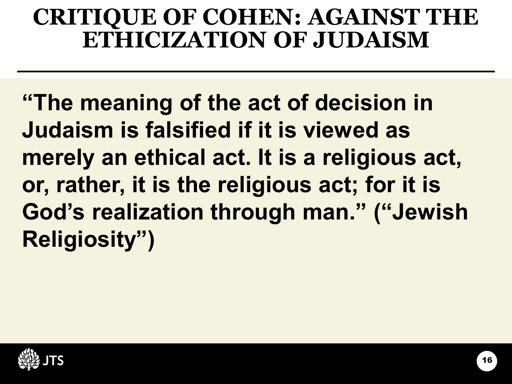#### **CRITIQUE OF COHEN: AGAINST THE ETHICIZATION OF JUDAISM**

**"The meaning of the act of decision in Judaism is falsified if it is viewed as merely an ethical act. It is a religious act, or, rather, it is the religious act; for it is God's realization through man." ("Jewish Religiosity")**

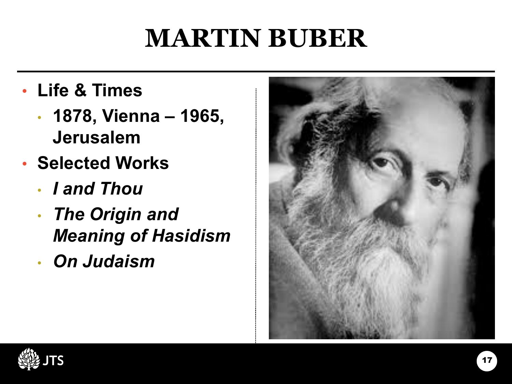## **MARTIN BUBER**

- **Life & Times**
	- **1878, Vienna – 1965, Jerusalem**
- **Selected Works**
	- *I and Thou*
	- *The Origin and Meaning of Hasidism*
	- *On Judaism*



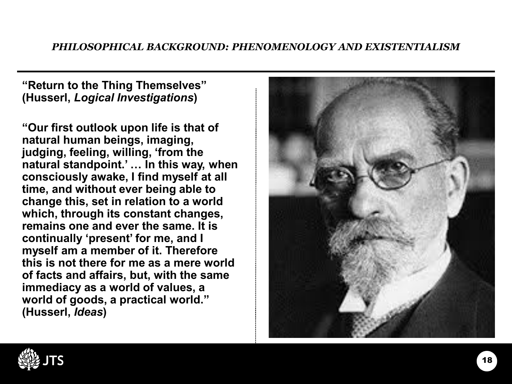#### *PHILOSOPHICAL BACKGROUND: PHENOMENOLOGY AND EXISTENTIALISM*

**"Return to the Thing Themselves" (Husserl,** *Logical Investigations***)** 

**"Our first outlook upon life is that of natural human beings, imaging, judging, feeling, willing, 'from the natural standpoint.' … In this way, when consciously awake, I find myself at all time, and without ever being able to change this, set in relation to a world which, through its constant changes, remains one and ever the same. It is continually 'present' for me, and I myself am a member of it. Therefore this is not there for me as a mere world of facts and affairs, but, with the same immediacy as a world of values, a world of goods, a practical world." (Husserl,** *Ideas***)**



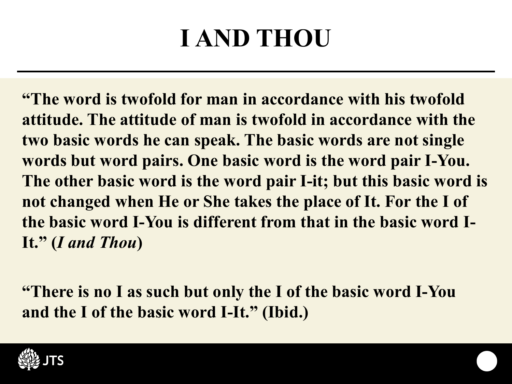## **I AND THOU**

**"The word is twofold for man in accordance with his twofold attitude. The attitude of man is twofold in accordance with the two basic words he can speak. The basic words are not single words but word pairs. One basic word is the word pair I-You. The other basic word is the word pair I-it; but this basic word is not changed when He or She takes the place of It. For the I of the basic word I-You is different from that in the basic word I-It." (***I and Thou***)**

**"There is no I as such but only the I of the basic word I-You and the I of the basic word I-It." (Ibid.)**

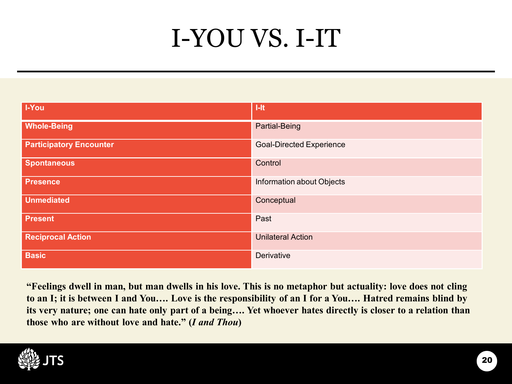#### I-YOU VS. I-IT

| <b>I-You</b>                   | $I-It$                          |
|--------------------------------|---------------------------------|
| <b>Whole-Being</b>             | Partial-Being                   |
| <b>Participatory Encounter</b> | <b>Goal-Directed Experience</b> |
| <b>Spontaneous</b>             | Control                         |
| <b>Presence</b>                | Information about Objects       |
| <b>Unmediated</b>              | Conceptual                      |
| <b>Present</b>                 | Past                            |
| <b>Reciprocal Action</b>       | <b>Unilateral Action</b>        |
| <b>Basic</b>                   | Derivative                      |

**"Feelings dwell in man, but man dwells in his love. This is no metaphor but actuality: love does not cling to an I; it is between I and You…. Love is the responsibility of an I for a You…. Hatred remains blind by its very nature; one can hate only part of a being…. Yet whoever hates directly is closer to a relation than those who are without love and hate." (***I and Thou***)**

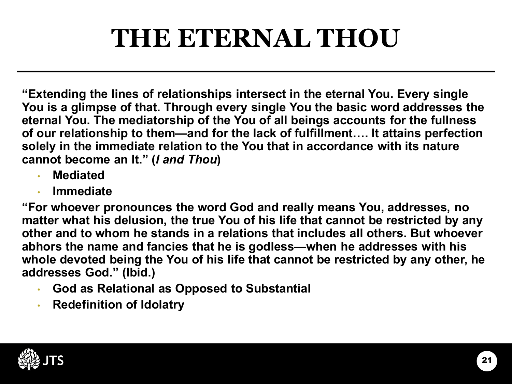## **THE ETERNAL THOU**

**"Extending the lines of relationships intersect in the eternal You. Every single You is a glimpse of that. Through every single You the basic word addresses the eternal You. The mediatorship of the You of all beings accounts for the fullness of our relationship to them—and for the lack of fulfillment…. It attains perfection solely in the immediate relation to the You that in accordance with its nature cannot become an It." (***I and Thou***)**

- **Mediated**
- **Immediate**

**"For whoever pronounces the word God and really means You, addresses, no matter what his delusion, the true You of his life that cannot be restricted by any other and to whom he stands in a relations that includes all others. But whoever abhors the name and fancies that he is godless—when he addresses with his whole devoted being the You of his life that cannot be restricted by any other, he addresses God." (Ibid.)**

- **God as Relational as Opposed to Substantial**
- **Redefinition of Idolatry**

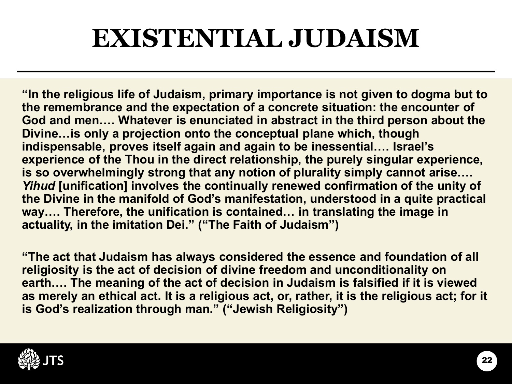#### **EXISTENTIAL JUDAISM**

**"In the religious life of Judaism, primary importance is not given to dogma but to the remembrance and the expectation of a concrete situation: the encounter of God and men…. Whatever is enunciated in abstract in the third person about the Divine…is only a projection onto the conceptual plane which, though indispensable, proves itself again and again to be inessential…. Israel's experience of the Thou in the direct relationship, the purely singular experience, is so overwhelmingly strong that any notion of plurality simply cannot arise….**  *Yihud* **[unification] involves the continually renewed confirmation of the unity of the Divine in the manifold of God's manifestation, understood in a quite practical way…. Therefore, the unification is contained… in translating the image in actuality, in the imitation Dei." ("The Faith of Judaism")**

**"The act that Judaism has always considered the essence and foundation of all religiosity is the act of decision of divine freedom and unconditionality on earth…. The meaning of the act of decision in Judaism is falsified if it is viewed as merely an ethical act. It is a religious act, or, rather, it is the religious act; for it is God's realization through man." ("Jewish Religiosity")**

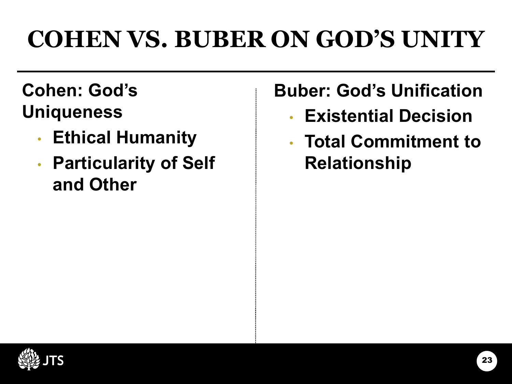#### **COHEN VS. BUBER ON GOD'S UNITY**

#### **Cohen: God's Uniqueness**

- **Ethical Humanity**
- **Particularity of Self and Other**

#### **Buber: God's Unification**

- **Existential Decision**
- **Total Commitment to Relationship**

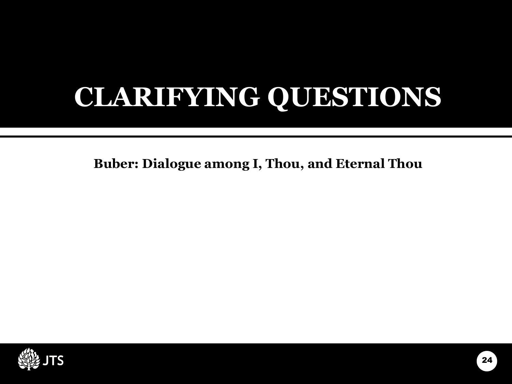# **CLARIFYING QUESTIONS**

**Buber: Dialogue among I, Thou, and Eternal Thou**

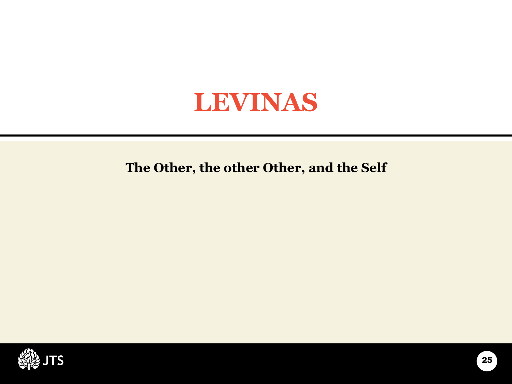

**The Other, the other Other, and the Self**

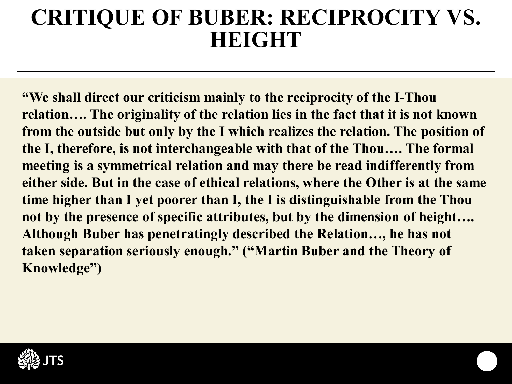#### **CRITIQUE OF BUBER: RECIPROCITY VS. HEIGHT**

**"We shall direct our criticism mainly to the reciprocity of the I-Thou relation…. The originality of the relation lies in the fact that it is not known from the outside but only by the I which realizes the relation. The position of the I, therefore, is not interchangeable with that of the Thou…. The formal meeting is a symmetrical relation and may there be read indifferently from either side. But in the case of ethical relations, where the Other is at the same time higher than I yet poorer than I, the I is distinguishable from the Thou not by the presence of specific attributes, but by the dimension of height…. Although Buber has penetratingly described the Relation…, he has not taken separation seriously enough." ("Martin Buber and the Theory of Knowledge")**

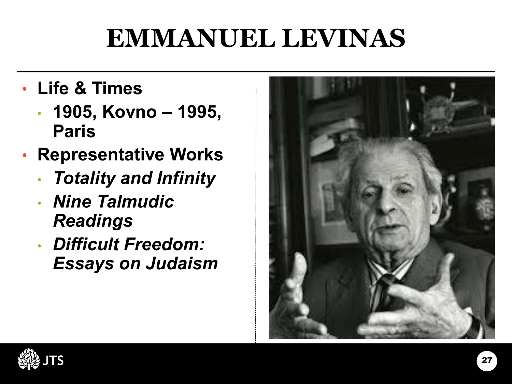## **EMMANUEL LEVINAS**

- **Life & Times**
	- **1905, Kovno – 1995, Paris**
- **Representative Works**
	- *Totality and Infinity*
	- *Nine Talmudic Readings*
	- *Difficult Freedom: Essays on Judaism*



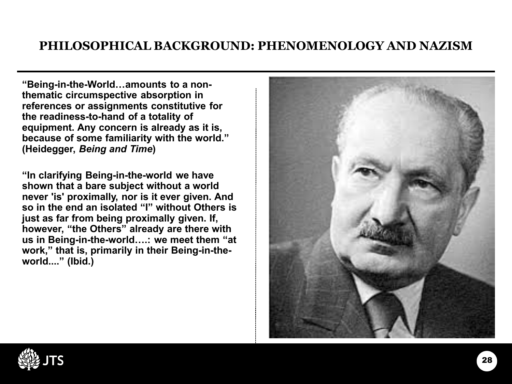#### **PHILOSOPHICAL BACKGROUND: PHENOMENOLOGY AND NAZISM**

**"Being-in-the-World…amounts to a nonthematic circumspective absorption in references or assignments constitutive for the readiness-to-hand of a totality of equipment. Any concern is already as it is, because of some familiarity with the world." (Heidegger,** *Being and Time***)**

**"In clarifying Being-in-the-world we have shown that a bare subject without a world never 'is' proximally, nor is it ever given. And so in the end an isolated "I" without Others is just as far from being proximally given. If, however, "the Others" already are there with us in Being-in-the-world….: we meet them "at work," that is, primarily in their Being-in-theworld...." (Ibid.)**



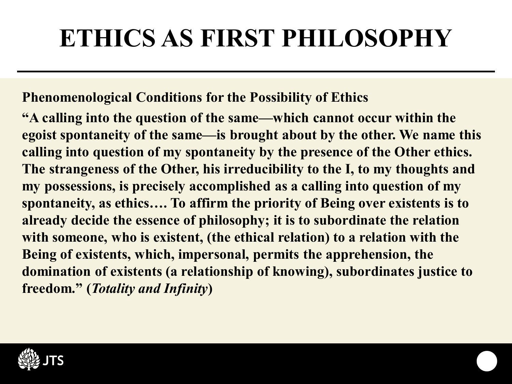## **ETHICS AS FIRST PHILOSOPHY**

#### **Phenomenological Conditions for the Possibility of Ethics**

**"A calling into the question of the same—which cannot occur within the egoist spontaneity of the same—is brought about by the other. We name this calling into question of my spontaneity by the presence of the Other ethics. The strangeness of the Other, his irreducibility to the I, to my thoughts and my possessions, is precisely accomplished as a calling into question of my spontaneity, as ethics…. To affirm the priority of Being over existents is to already decide the essence of philosophy; it is to subordinate the relation with someone, who is existent, (the ethical relation) to a relation with the Being of existents, which, impersonal, permits the apprehension, the domination of existents (a relationship of knowing), subordinates justice to freedom." (***Totality and Infinity***)**

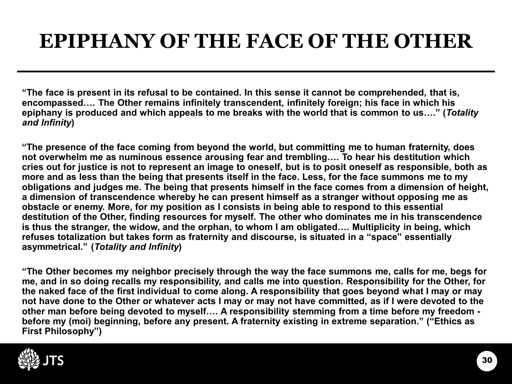#### **EPIPHANY OF THE FACE OF THE OTHER**

**"The face is present in its refusal to be contained. In this sense it cannot be comprehended, that is, encompassed…. The Other remains infinitely transcendent, infinitely foreign; his face in which his epiphany is produced and which appeals to me breaks with the world that is common to us…." (***Totality and Infinity***)**

**"The presence of the face coming from beyond the world, but committing me to human fraternity, does not overwhelm me as numinous essence arousing fear and trembling…. To hear his destitution which cries out for justice is not to represent an image to oneself, but is to posit oneself as responsible, both as more and as less than the being that presents itself in the face. Less, for the face summons me to my obligations and judges me. The being that presents himself in the face comes from a dimension of height, a dimension of transcendence whereby he can present himself as a stranger without opposing me as obstacle or enemy. More, for my position as I consists in being able to respond to this essential destitution of the Other, finding resources for myself. The other who dominates me in his transcendence is thus the stranger, the widow, and the orphan, to whom I am obligated…. Multiplicity in being, which refuses totalization but takes form as fraternity and discourse, is situated in a "space" essentially asymmetrical." (***Totality and Infinity***)**

**"The Other becomes my neighbor precisely through the way the face summons me, calls for me, begs for me, and in so doing recalls my responsibility, and calls me into question. Responsibility for the Other, for the naked face of the first individual to come along. A responsibility that goes beyond what I may or may not have done to the Other or whatever acts I may or may not have committed, as if I were devoted to the other man before being devoted to myself…. A responsibility stemming from a time before my freedom before my (moi) beginning, before any present. A fraternity existing in extreme separation." ("Ethics as First Philosophy")**

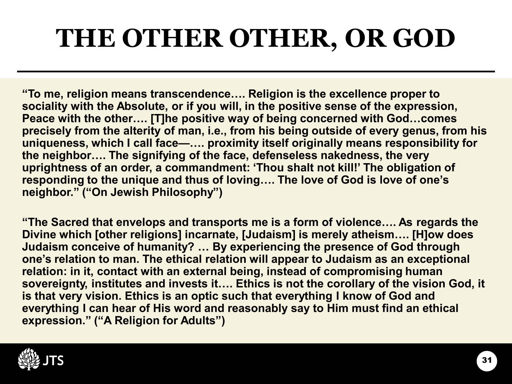# **THE OTHER OTHER, OR GOD**

**"To me, religion means transcendence…. Religion is the excellence proper to sociality with the Absolute, or if you will, in the positive sense of the expression, Peace with the other…. [T]he positive way of being concerned with God…comes precisely from the alterity of man, i.e., from his being outside of every genus, from his uniqueness, which I call face—…. proximity itself originally means responsibility for the neighbor…. The signifying of the face, defenseless nakedness, the very uprightness of an order, a commandment: 'Thou shalt not kill!' The obligation of responding to the unique and thus of loving…. The love of God is love of one's neighbor." ("On Jewish Philosophy")**

**"The Sacred that envelops and transports me is a form of violence…. As regards the Divine which [other religions] incarnate, [Judaism] is merely atheism…. [H]ow does Judaism conceive of humanity? … By experiencing the presence of God through one's relation to man. The ethical relation will appear to Judaism as an exceptional relation: in it, contact with an external being, instead of compromising human sovereignty, institutes and invests it…. Ethics is not the corollary of the vision God, it is that very vision. Ethics is an optic such that everything I know of God and everything I can hear of His word and reasonably say to Him must find an ethical expression." ("A Religion for Adults")**

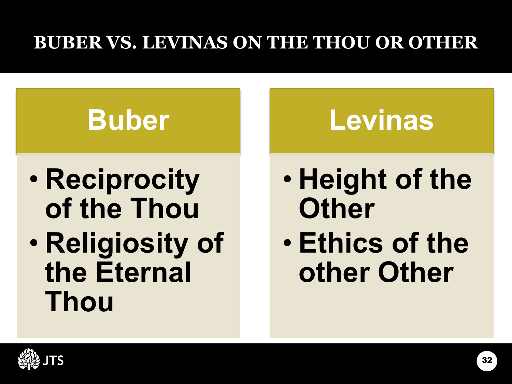#### **BUBER VS. LEVINAS ON THE THOU OR OTHER**

# **Buber**

- **Reciprocity of the Thou**
- **Religiosity of the Eternal Thou**

# **Levinas**

- **Height of the Other**
- **Ethics of the other Other**

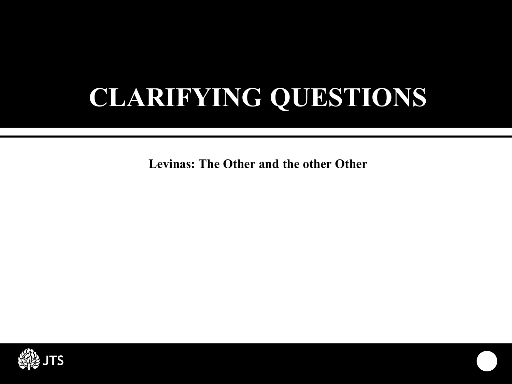## **CLARIFYING QUESTIONS**

**Levinas: The Other and the other Other**

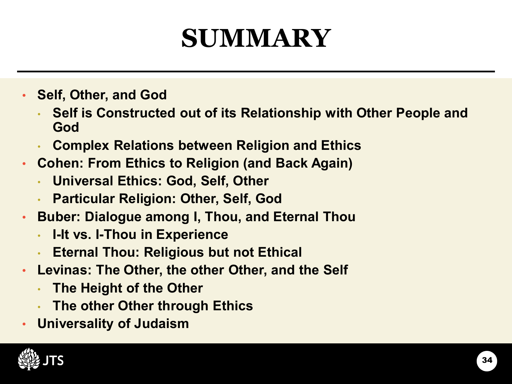## **SUMMARY**

- **Self, Other, and God**
	- **Self is Constructed out of its Relationship with Other People and God**
	- **Complex Relations between Religion and Ethics**
- **Cohen: From Ethics to Religion (and Back Again)**
	- **Universal Ethics: God, Self, Other**
	- **Particular Religion: Other, Self, God**
- **Buber: Dialogue among I, Thou, and Eternal Thou**
	- **I-It vs. I-Thou in Experience**
	- **Eternal Thou: Religious but not Ethical**
- **Levinas: The Other, the other Other, and the Self**
	- **The Height of the Other**
	- **The other Other through Ethics**
- **Universality of Judaism**